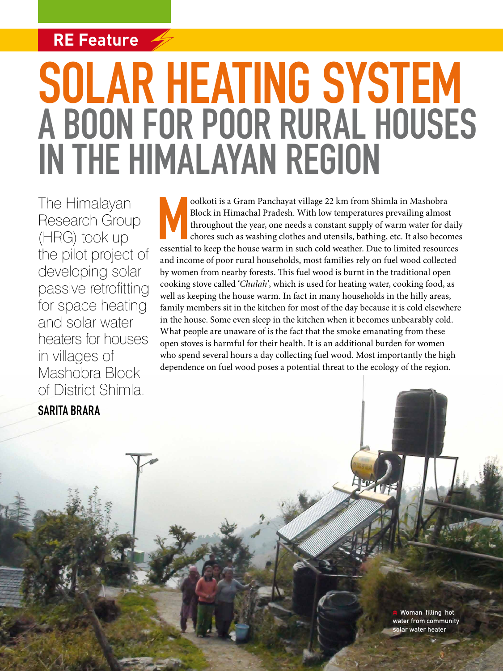## **RE** Feature

# Solar heating system a boon for poor rural houses in the Himalayan region

The Himalayan Research Group (HRG) took up the pilot project of developing solar passive retrofitting for space heating and solar water heaters for houses in villages of Mashobra Block of District Shimla.

oolkoti is a Gram Panchayat village 22 km from Shimla in Mashobra<br>Block in Himachal Pradesh. With low temperatures prevailing almost<br>throughout the year, one needs a constant supply of warm water for daily<br>chores such as w oolkoti is a Gram Panchayat village 22 km from Shimla in Mashobra Block in Himachal Pradesh. With low temperatures prevailing almost throughout the year, one needs a constant supply of warm water for daily chores such as washing clothes and utensils, bathing, etc. It also becomes and income of poor rural households, most families rely on fuel wood collected by women from nearby forests. This fuel wood is burnt in the traditional open cooking stove called '*Chulah*', which is used for heating water, cooking food, as well as keeping the house warm. In fact in many households in the hilly areas, family members sit in the kitchen for most of the day because it is cold elsewhere in the house. Some even sleep in the kitchen when it becomes unbearably cold. What people are unaware of is the fact that the smoke emanating from these open stoves is harmful for their health. It is an additional burden for women who spend several hours a day collecting fuel wood. Most importantly the high dependence on fuel wood poses a potential threat to the ecology of the region.

Sarita Brara

**16 |** Akshay Urja **|** February 2014

 Woman filling hot water from community solar water heater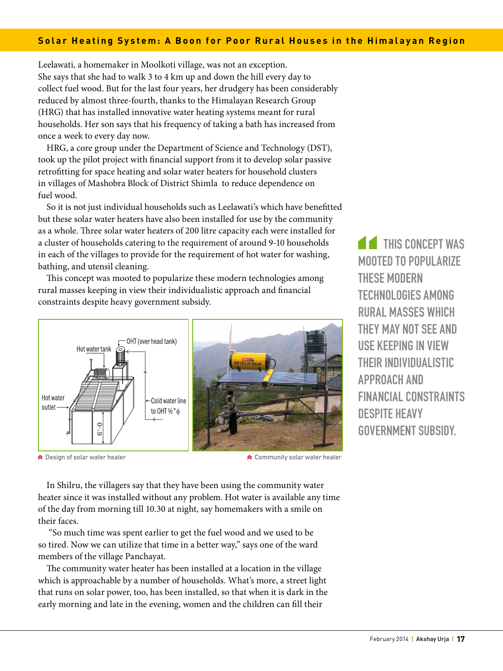#### **Solar Heating System: A Boon for Poor Rural Houses in the Himalayan Region**

Leelawati, a homemaker in Moolkoti village, was not an exception. She says that she had to walk 3 to 4 km up and down the hill every day to collect fuel wood. But for the last four years, her drudgery has been considerably reduced by almost three-fourth, thanks to the Himalayan Research Group (HRG) that has installed innovative water heating systems meant for rural households. Her son says that his frequency of taking a bath has increased from once a week to every day now.

HRG, a core group under the Department of Science and Technology (DST), took up the pilot project with financial support from it to develop solar passive retrofitting for space heating and solar water heaters for household clusters in villages of Mashobra Block of District Shimla to reduce dependence on fuel wood.

So it is not just individual households such as Leelawati's which have benefitted but these solar water heaters have also been installed for use by the community as a whole. Three solar water heaters of 200 litre capacity each were installed for a cluster of households catering to the requirement of around 9-10 households in each of the villages to provide for the requirement of hot water for washing, bathing, and utensil cleaning.

This concept was mooted to popularize these modern technologies among rural masses keeping in view their individualistic approach and financial constraints despite heavy government subsidy.



◆ Design of solar water heater Community solar water heater Community solar water heater

In Shilru, the villagers say that they have been using the community water heater since it was installed without any problem. Hot water is available any time of the day from morning till 10.30 at night, say homemakers with a smile on their faces.

 "So much time was spent earlier to get the fuel wood and we used to be so tired. Now we can utilize that time in a better way," says one of the ward members of the village Panchayat.

The community water heater has been installed at a location in the village which is approachable by a number of households. What's more, a street light that runs on solar power, too, has been installed, so that when it is dark in the early morning and late in the evening, women and the children can fill their

**THIS CONCEPT WAS** mooted to popularize these modern technologies among rural masses which they may not see and use keeping in view their individualistic approach and financial constraints despite heavy government subsidy.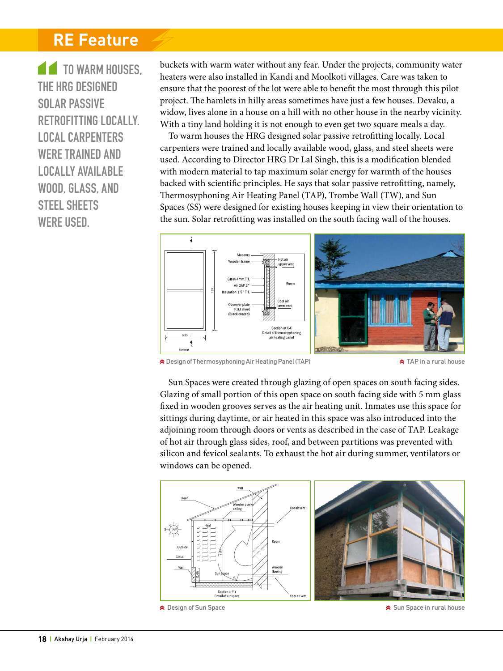## **RE** Feature

**TO WARM HOUSES,** the HRG designed solar passive retrofitting locally. Local carpenters were trained and locally available wood, glass, and steel sheets were used.

buckets with warm water without any fear. Under the projects, community water heaters were also installed in Kandi and Moolkoti villages. Care was taken to ensure that the poorest of the lot were able to benefit the most through this pilot project. The hamlets in hilly areas sometimes have just a few houses. Devaku, a widow, lives alone in a house on a hill with no other house in the nearby vicinity. With a tiny land holding it is not enough to even get two square meals a day.

To warm houses the HRG designed solar passive retrofitting locally. Local carpenters were trained and locally available wood, glass, and steel sheets were used. According to Director HRG Dr Lal Singh, this is a modification blended with modern material to tap maximum solar energy for warmth of the houses backed with scientific principles. He says that solar passive retrofitting, namely, Thermosyphoning Air Heating Panel (TAP), Trombe Wall (TW), and Sun Spaces (SS) were designed for existing houses keeping in view their orientation to the sun. Solar retrofitting was installed on the south facing wall of the houses.



 $\triangle$  Design of Thermosyphoning Air Heating Panel (TAP)  $\triangle$  TAP in a rural house

Sun Spaces were created through glazing of open spaces on south facing sides. Glazing of small portion of this open space on south facing side with 5 mm glass fixed in wooden grooves serves as the air heating unit. Inmates use this space for sittings during daytime, or air heated in this space was also introduced into the adjoining room through doors or vents as described in the case of TAP. Leakage of hot air through glass sides, roof, and between partitions was prevented with silicon and fevicol sealants. To exhaust the hot air during summer, ventilators or windows can be opened.



★ Design of Sun Space Sun Space in rural house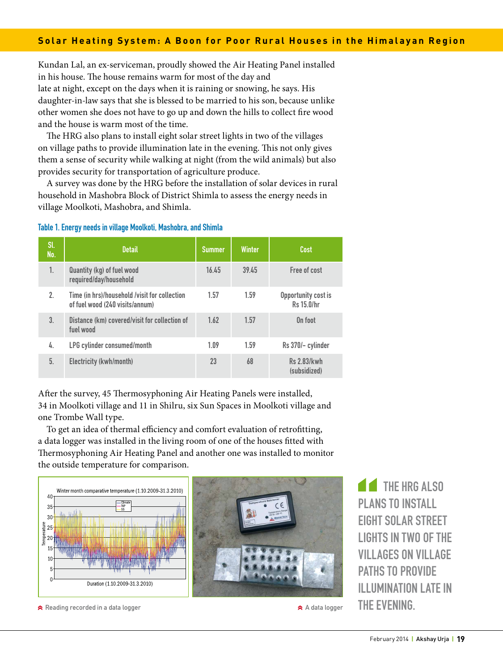Kundan Lal, an ex-serviceman, proudly showed the Air Heating Panel installed in his house. The house remains warm for most of the day and late at night, except on the days when it is raining or snowing, he says. His daughter-in-law says that she is blessed to be married to his son, because unlike other women she does not have to go up and down the hills to collect fire wood and the house is warm most of the time.

The HRG also plans to install eight solar street lights in two of the villages on village paths to provide illumination late in the evening. This not only gives them a sense of security while walking at night (from the wild animals) but also provides security for transportation of agriculture produce.

A survey was done by the HRG before the installation of solar devices in rural household in Mashobra Block of District Shimla to assess the energy needs in village Moolkoti, Mashobra, and Shimla.

#### Table 1. Energy needs in village Moolkoti, Mashobra, and Shimla

| Sl.<br>No.     | <b>Detail</b>                                                                    | <b>Summer</b> | <b>Winter</b> | Cost                                     |
|----------------|----------------------------------------------------------------------------------|---------------|---------------|------------------------------------------|
| $\mathbf{1}$   | Quantity (kg) of fuel wood<br>required/day/household                             | 16.45         | 39.45         | Free of cost                             |
| 2 <sup>2</sup> | Time (in hrs)/household /visit for collection<br>of fuel wood (240 visits/annum) | 1.57          | 1.59          | Opportunity cost is<br><b>Rs 15.0/hr</b> |
| $\mathcal{R}$  | Distance (km) covered/visit for collection of<br>fuel wood                       | 1.62          | 1.57          | On foot                                  |
| 4.             | <b>LPG cylinder consumed/month</b>                                               | 1.09          | 1.59          | Rs 370/- cylinder                        |
| 5.             | Electricity (kwh/month)                                                          | 23            | 68            | <b>Rs 2.83/kwh</b><br>(subsidized)       |

After the survey, 45 Thermosyphoning Air Heating Panels were installed, 34 in Moolkoti village and 11 in Shilru, six Sun Spaces in Moolkoti village and one Trombe Wall type.

To get an idea of thermal efficiency and comfort evaluation of retrofitting, a data logger was installed in the living room of one of the houses fitted with Thermosyphoning Air Heating Panel and another one was installed to monitor the outside temperature for comparison.



◆ Reading recorded in a data logger A data logger A data logger

**THE HRG ALSO** plans to install eight solar street lights in two of the villages on village paths to provide illumination late in the evening.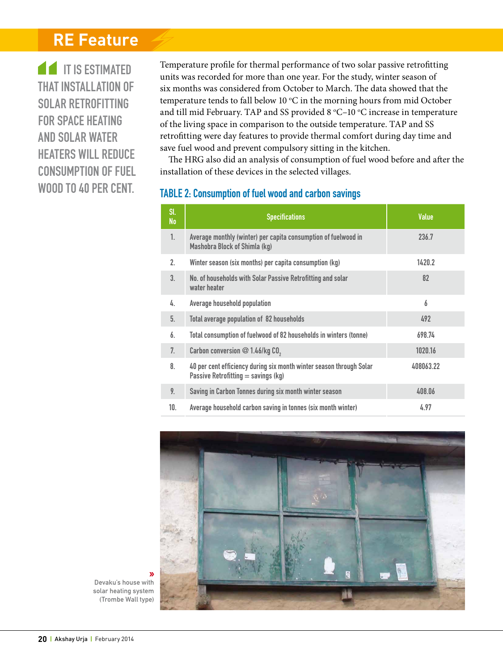## **RE** Feature

IT IS ESTIMATED that installation of solar retrofitting for space heating and solar water heaters will reduce consumption of fuel WOOD TO 40 PER CENT.

Temperature profile for thermal performance of two solar passive retrofitting units was recorded for more than one year. For the study, winter season of six months was considered from October to March. The data showed that the temperature tends to fall below 10 °C in the morning hours from mid October and till mid February. TAP and SS provided 8  $^{\circ}$ C–10  $^{\circ}$ C increase in temperature of the living space in comparison to the outside temperature. TAP and SS retrofitting were day features to provide thermal comfort during day time and save fuel wood and prevent compulsory sitting in the kitchen.

The HRG also did an analysis of consumption of fuel wood before and after the installation of these devices in the selected villages.

### Table 2: Consumption of fuel wood and carbon savings

| SL.<br>N <sub>o</sub> | <b>Specifications</b>                                                                                      | <b>Value</b> |
|-----------------------|------------------------------------------------------------------------------------------------------------|--------------|
| 1.                    | Average monthly (winter) per capita consumption of fuelwood in<br><b>Mashobra Block of Shimla (kg)</b>     | 236.7        |
| 2.                    | Winter season (six months) per capita consumption (kg)                                                     | 1420.2       |
| 3.                    | No. of households with Solar Passive Retrofitting and solar<br>water heater                                | 82           |
| 4.                    | Average household population                                                                               | 6            |
| 5.                    | <b>Total average population of 82 households</b>                                                           | 492          |
| 6.                    | Total consumption of fuelwood of 82 households in winters (tonne)                                          | 698.74       |
| 7 <sub>1</sub>        | Carbon conversion @ 1.46/kg CO <sub>2</sub>                                                                | 1020.16      |
| 8.                    | 40 per cent efficiency during six month winter season through Solar<br>Passive Retrofitting = savings (kg) | 408063.22    |
| 9.                    | Saving in Carbon Tonnes during six month winter season                                                     | 408.06       |
| 10.                   | Average household carbon saving in tonnes (six month winter)                                               | 4.97         |



 $\mathbf{v}$ Devaku's house with solar heating system (Trombe Wall type)